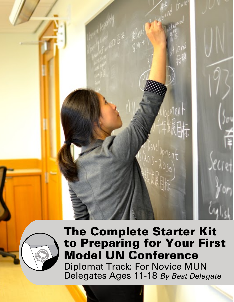



# **The Complete Starter Kit** to Preparing for Your First **Model UN Conference** Diplomat Track: For Novice MUN Delegates Ages 11-18 By Best Delegate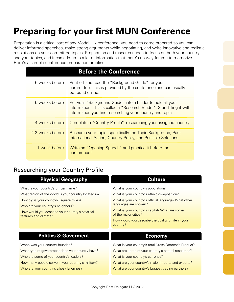# **Preparing for your first MUN Conference**

Preparation is a critical part of any Model UN conference- you need to come prepared so you can deliver informed speeches, make strong arguments while negotiating, and write innovative and realistic resolutions on your committee topics. Preparation and research needs to focus on both your country and your topics, and it can add up to a lot of information that there's no way for you to memorize! Here's a sample conference preparation timeline:

| <b>Before the Conference</b> |                                                                                                                                                                                                  |  |  |  |
|------------------------------|--------------------------------------------------------------------------------------------------------------------------------------------------------------------------------------------------|--|--|--|
| 6 weeks before               | Print off and read the "Background Guide" for your<br>committee. This is provided by the conference and can usually<br>be found online.                                                          |  |  |  |
| 5 weeks before               | Put your "Background Guide" into a binder to hold all your<br>information. This is called a "Research Binder". Start filling it with<br>information you find researching your country and topic. |  |  |  |
| 4 weeks before               | Complete a "Country Profile", researching your assigned country.                                                                                                                                 |  |  |  |
| 2-3 weeks before             | Research your topic-specifically the Topic Background, Past<br>International Action, Country Policy, and Possible Solutions                                                                      |  |  |  |
| 1 week before                | Write an "Opening Speech" and practice it before the<br>conference!                                                                                                                              |  |  |  |

## Researching your Country Profile

| <b>Physical Geography</b>                                               | <b>Culture</b>                                                                |  |
|-------------------------------------------------------------------------|-------------------------------------------------------------------------------|--|
| What is your country's official name?                                   | What is your country's population?                                            |  |
| What region of the world is your country located in?                    | What is your country's ethnic composition?                                    |  |
| How big is your country? (square miles)                                 | What is your country's official language? What other<br>languages are spoken? |  |
| Who are your country's neighbors?                                       |                                                                               |  |
| How would you describe your country's physical<br>features and climate? | What is your country's capital? What are some<br>of the major cities?         |  |
|                                                                         | How would you describe the quality of life in your<br>country?                |  |
| <b>Politics &amp; Goverment</b>                                         | <b>Economy</b>                                                                |  |
| When was your country founded?                                          | What is your country's total Gross Domestic Product?                          |  |
| What type of government does your country have?                         | What are some of your country's natural resources?                            |  |
| Who are some of your country's leaders?                                 | What is your country's currency?                                              |  |
| How many people serve in your country's military?                       | What are your country's major imports and exports?                            |  |
| Who are your country's allies? Enemies?                                 | What are your country's biggest trading partners?                             |  |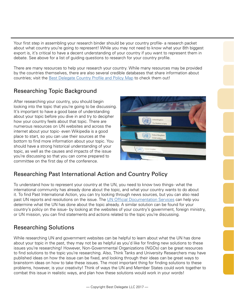Your first step in assembling your research binder should be your country profile- a research packet about what country you're going to represent! While you may not need to know what your 8th biggest export is, it's critical to have a decent understanding of your country if you want to represent them in debate. See above for a list of guiding questions to research for your country profile.

There are many resources to help your research your country. While many resources may be provided by the countries themselves, there are also several credible databases that share information about countries; visit the [Best Delegate Country Profile and Policy Map](http://bestdelegate.com/researchmap) to check them out!

## Researching Topic Background

After researching your country, you should begin looking into the topic that you're going to be discussing. It's important to have a good base of understanding about your topic before you dive in and try to decipher how your country feels about that topic. There are numerous resources on UN websites and across the internet about your topic- even Wikipedia is a good place to start, so you can use their sources at the bottom to find more information about your topic. You should have a strong historical understanding of your topic, as well as the causes and impacts of the issue you're discussing so that you can come prepared to committee on the first day of the conference.



## Researching Past International Action and Country Policy

To understand how to represent your country at the UN, you need to know two things- what the international community has already done about the topic, and what your country wants to do about it. To find Past International Action, you can try looking through news sources, but you can also read past UN reports and resolutions on the issue. The [UN Official Documentation Services](http://www.un.org/en/documents/ods/) can help you determine what the UN has done about the topic already. A similar solution can be found for your country's policy on the issue- by looking at the websites of your country's government, foreign ministry, or UN mission, you can find statements and actions related to the topic you're discussing.

## Researching Solutions

While researching UN and government websites can be helpful to learn about what the UN has done about your topic in the past, they may not be as helpful as you'd like for finding new solutions to these issues you're researching! However, Non-Governmental Organizations (NGOs) can be great resources to find solutions to the topic you're researching. Also, Think Tanks and University Researchers may have published ideas on how the issue can be fixed, and looking through their ideas can be great ways to brainstorm ideas on how to take these issues. The most important thing for finding solutions to these problems, however, is your creativity! Think of ways the UN and Member States could work together to combat this issue in realistic ways, and plan how these solutions would work in your words!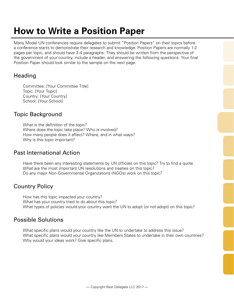# **How to Write a Position Paper**

Many Model UN conferences require delegates to submit "Position Papers" on their topics before a conference starts to demonstrate their research and knowledge. Position Papers are normally 1-2 pages per topic, and should have 3-4 paragraphs. They should be written from the perspective of the government of your country, include a header, and answering the following questions. Your final Position Paper should look similar to the sample on the next page.

## **Heading**

Committee: [Your Committee Title] Topic: [Your Topic] Country: [Your Country] School: [Your School]

## Topic Background

What is the definition of the topic? Where does the topic take place? Who is involved? How many people does it affect? Where, and in what ways? Why is this topic important?

## Past International Action

Have there been any interesting statements by UN officials on this topic? Try to find a quote. What are the most important UN resolutions and treaties on this topic? Do any major Non-Governmental Organizations (NGOs) work on this topic?

## Country Policy

How has this topic impacted your country? What has your country tried to do about this topic? What types of policies would your country want the UN to adopt (or not adopt) on this topic?

## Possible Solutions

What specific plans would your country like the UN to undertake to address this issue? What specific plans would your country like Members States to undertake in their own countries? Why would your ideas work? Give specific plans.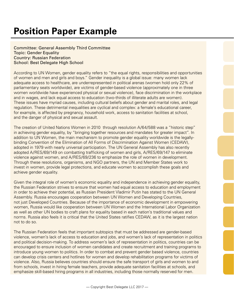# **Position Paper Example**

Committee: General Assembly Third Committee Topic: Gender Equality Country: Russian Federation School: Best Delegate High School

According to UN Women, gender equality refers to "the equal rights, responsibilities and opportunities of women and men and girls and boys." Gender inequality is a global issue: many women lack adequate access to healthcare, are underrepresented in political arenas (women hold only 22% of parliamentary seats worldwide), are victims of gender-based violence (approximately one in three women worldwide have experienced physical or sexual violence), face discrimination in the workplace and in wages, and lack equal access to education (two-thirds of illiterate adults are women). These issues have myriad causes, including cultural beliefs about gender and marital roles, and legal regulation. These detrimental inequalities are cyclical and complex: a female's educational career, for example, is affected by pregnancy, household work, access to sanitation facilities at school, and the danger of physical and sexual assault.

The creation of United Nations Women in 2010 through resolution A/64/588 was a "historic step" in achieving gender equality, by "bringing together resources and mandates for greater impact". In addition to UN Women, the main mechanism to promote gender equality worldwide is the legallybinding Convention of the Elimination of All Forms of Discrimination Against Women (CEDAW), adopted in 1979 with nearly universal participation. The UN General Assembly has also recently adopted A/RES/69/149 on combatting trafficking of women and girls, A/RES/69/147 to eliminate violence against women, and A/RES/69/236 to emphasize the role of women in development. Through these resolutions, organisms, and NGO partners, the UN and Member States work to invest in women, provide legal protections, and educate women to accomplish these goals and achieve gender equality.

Given the integral role of women's economic equality and independence in achieving gender equality, the Russian Federation strives to ensure that women had equal access to education and employment in order to achieve their potential, as Russian President Vladimir Putin has stated to the UN General Assembly. Russia encourages cooperation between UN Women and Developing Countries, not just Developed Countries. Because of the importance of economic development in empowering women, Russia would like cooperation between UN Women and the International Labor Organization as well as other UN bodies to craft plans for equality based in each nation's traditional values and norms. Russia also feels it is critical that the United States ratifies CEDAW, as it is the largest nation not to do so.

The Russian Federation feels that important subtopics that must be addressed are gender-based violence, women's lack of access to education and jobs, and women's lack of representation in politics and political decision-making. To address women's lack of representation in politics, countries can be encouraged to ensure inclusion of women candidates and create recruitment and training programs to introduce young women to politics. In order to combat and prevent gender based violence, countries can develop crisis centers and hotlines for women and develop rehabilitation programs for victims of violence. Also, Russia believes countries should ensure the safe transport of girls and women to and from schools, invest in hiring female teachers, provide adequate sanitation facilities at schools, and emphasize skill-based hiring programs in all industries, including those normally reserved for men.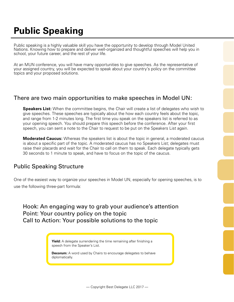# **Public Speaking**

Public speaking is a highly valuable skill you have the opportunity to develop through Model United Nations. Knowing how to prepare and deliver well-organized and thoughtful speeches will help you in school, your future career, and the rest of your life.

At an MUN conference, you will have many opportunities to give speeches. As the representative of your assigned country, you will be expected to speak about your country's policy on the committee topics and your proposed solutions.

### There are two main opportunities to make speeches in Model UN:

**Speakers List:** When the committee begins, the Chair will create a list of delegates who wish to give speeches. These speeches are typically about the how each country feels about the topic, and range from 1-2 minutes long. The first time you speak on the speakers list is referred to as your opening speech. You should prepare this speech before the conference. After your first speech, you can sent a note to the Chair to request to be put on the Speakers List again.

**Moderated Caucus:** Whereas the speakers list is about the topic in general, a moderated caucus is about a specific part of the topic. A moderated caucus has no Speakers List; delegates must raise their placards and wait for the Chair to call on them to speak. Each delegate typically gets 30 seconds to 1 minute to speak, and have to focus on the topic of the caucus.

### Public Speaking Structure

One of the easiest way to organize your speeches in Model UN, especially for opening speeches, is to use the following three-part formula:

### Hook: An engaging way to grab your audience's attention Point: Your country policy on the topic Call to Action: Your possible solutions to the topic

**Yield:** A delegate surrendering the time remaining after finishing a speech from the Speaker's List.

**Decorum:** A word used by Chairs to encourage delegates to behave diplomatically.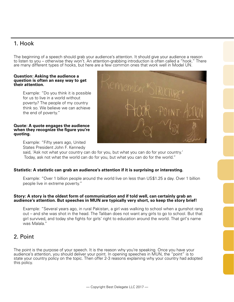## 1. Hook

The beginning of a speech should grab your audience's attention. It should give your audience a reason to listen to you – otherwise they won't. An attention-grabbing introduction is often called a "hook." There are many different types of hooks, but here are a few common ones that work well in Model UN.

#### **Question: Asking the audience a question is often an easy way to get their attention.**

Example: "Do you think it is possible for us to live in a world without poverty? The people of my country think so. We believe we can achieve the end of poverty."

#### **Quote: A quote engages the audience when they recognize the figure you're quoting.**

Example: "Fifty years ago, United States President John F. Kennedy

said, 'Ask not what your country can do for you, but what you can do for your country.' Today, ask not what the world can do for you, but what you can do for the world."

#### **Statistic: A statistic can grab an audience's attention if it is surprising or interesting.**

Example: "Over 1 billion people around the world live on less than US\$1.25 a day. Over 1 billion people live in extreme poverty."

#### **Story: A story is the oldest form of communication and if told well, can certainly grab an audience's attention. But speeches in MUN are typically very short, so keep the story brief!**

Example: "Several years ago, in rural Pakistan, a girl was walking to school when a gunshot rang out – and she was shot in the head. The Taliban does not want any girls to go to school. But that girl survived, and today she fights for girls' right to education around the world. That girl's name was Malala."

## 2. Point

The point is the purpose of your speech. It is the reason why you're speaking. Once you have your audience's attention, you should deliver your point. In opening speeches in MUN, the "point" is to state your country policy on the topic. Then offer 2-3 reasons explaining why your country had adopted this policy.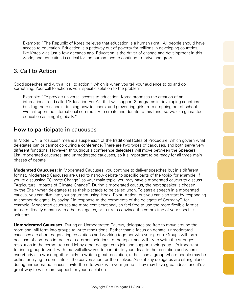Example: "The Republic of Korea believes that education is a human right. All people should have access to education. Education is a pathway out of poverty for millions in developing countries, like Korea was just a few decades ago. Education is the driver of change and development in this world, and education is critical for the human race to continue to thrive and grow.

## 3. Call to Action

Good speeches end with a "call to action," which is when you tell your audience to go and do something. Your call to action is your specific solution to the problem.

Example: "To provide universal access to education, Korea proposes the creation of an international fund called 'Education For All' that will support 3 programs in developing countries: building more schools, training new teachers, and preventing girls from dropping out of school. We call upon the international community to create and donate to this fund, so we can guarantee education as a right globally."

### How to participate in caucuses

In Model UN, a "caucus" means a suspension of the traditional Rules of Procedure, which govern what delegates can or cannot do during a conference. There are two types of caucuses, and both serve very different functions. However, throughout a conference delegates will move between the Speakers List, moderated caucuses, and unmoderated caucuses, so it's important to be ready for all three main phases of debate.

**Moderated Caucuses:** In Moderated Caucuses, you continue to deliver speeches but in a different format. Moderated Caucuses are used to narrow debate to specific parts of the topic- for example, if you're discussing "Climate Change" as your main topic, you may have a moderated caucus to discuss "Agricultural Impacts of Climate Change". During a moderated caucus, the next speaker is chosen by the Chair when delegates raise their placards to be called upon. To start a speech in a moderated caucus, you can dive into your argument using Hook, Point, Action, but you can also start by responding to another delegate, by saying "In response to the comments of the delegate of Germany", for example. Moderated caucuses are more conversational, so feel free to use the more flexible format to more directly debate with other delegates, or to try to convince the committee of your specific solutions.

**Unmoderated Caucuses:** During an Unmoderated Caucus, delegates are free to move around the room and will form into groups to write resolutions. Rather than a focus on debate, unmoderated caucuses are about negotiating resolutions and working together with your group. Groups will form because of common interests or common solutions to the topic, and will try to write the strongest resolution in the committee and lobby other delegates to join and support their group. It's important to find a group to work with that will allow you to contribute your ideas to the resolution and where everybody can work together fairly to write a great resolution, rather than a group where people may be bullies or trying to dominate all the conversation for themselves. Also, if any delegates are sitting alone during unmoderated caucus, invite them to work with your group! They may have great ideas, and it's a great way to win more support for your resolution.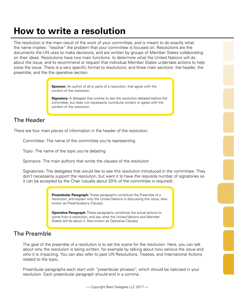# **How to write a resolution**

The resolution is the main result of the work of your committee, and is meant to do exactly what the name implies: "resolve" the problem that your committee is focused on. Resolutions are the documents the UN uses to make decisions, and are written by groups of Member States collaborating on their ideas. Resolutions have two main functions: to determine what the United Nations will do about the issue, and to recommend or request that individual Member States undertake actions to help solve the issue. There is a very specific format to resolutions, and three main sections: the header, the preamble, and the the operative section.

> **Sponsor:** An author of all or parts of a resolution, that agree with the content of the resolution.

**Signatory:** A delegate that wishes to see the resolution debated before the committee, but does not necessarily contribute content or agree with the content of the resolution.

## The Header

There are four main pieces of information in the header of the resolution:

Committee- The name of the committee you're representing

Topic- The name of the topic you're debating

Sponsors- The main authors that wrote the clauses of the resolution

Signatories- The delegates that would like to see this resolution introduced in the committee. They don't necessarily support the resolution, but want it to have the requisite number of signatories so it can be accepted by the Chair (usually about 20% of the committee is required).

> **Preambular Paragraph:** These paragraphs constitute the Preamble of a resolution, and explain why the United Nations is discussing this issue. Also known as Preambulatory Clauses.

**Operative Paragraph:** These paragraphs constitute the actual actions to come from a resolution, and say what the United Nations and Member States will do about it. Also known as Operative Clauses.

### The Preamble

The goal of the preamble of a resolution is to set the scene for the resolution. Here, you can talk about why the resolution is being written, for example by talking about how serious the issue and who it is impacting. You can also refer to past UN Resolutions, Treaties, and International Actions related to the topic.

Preambular paragraphs each start with "preambular phrases", which should be italicized in your resolution. Each preambular paragraph should end in a comma.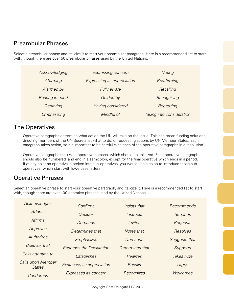### Preambular Phrases

Select a preambular phrase and Italicize it to start your preambular paragraph. Here is a recommended list to start with, though there are over 50 preambular phrases used by the United Nations.

| Acknowledging   | Expressing concern                 | Noting                    |
|-----------------|------------------------------------|---------------------------|
| Affirming       | <b>Expressing its appreciation</b> | Reaffirming               |
| Alarmed by      | Fully aware                        | Recalling                 |
| Bearing in mind | Guided by                          | Recognizing               |
| Deploring       | Having considered                  | Regretting                |
| Emphasizing     | Mindful of                         | Taking into consideration |

### The Operatives

Operative paragraphs determine what action the UN will take on the issue. This can mean funding solutions, directing members of the UN Secretariat what to do, or requesting actions by UN Member States. Each paragraph takes action, so it's important to be careful with each of the operative paragraphs in a resolution!

Operative paragraphs start with operative phrases, which should be italicized. Each operative paragraph should also be numbered, and end in a semicolon, except for the final operative which ends in a period. If at any point an operative is broken into sub-operatives, you would use a colon to introduce those suboperatives, which start with lowercase letters.

## Operative Phrases

Select an operative phrase to start your operative paragraph, and italicize it. Here is a recommended list to start with, though there are over 100 operative phrases used by the United Nations.

| Acknowledges                       | Confirms                        | Insists that    | Recommends      |
|------------------------------------|---------------------------------|-----------------|-----------------|
| <b>Adopts</b>                      | <i>Decides</i>                  | Instructs       | Reminds         |
| <i>Affirms</i>                     | Demands                         | Invites         | Requests        |
| Approves                           | Determines that                 | Notes that      | Resolves        |
| Authorizes                         | Emphasizes                      | Demands         | Suggests that   |
| <b>Believes that</b>               | <b>Endorses the Declaration</b> | Determines that | <b>Supports</b> |
| Calls attention to                 | Establishes                     | <b>Realizes</b> | Takes note      |
| Calls upon Member<br><b>States</b> | Expresses its appreciation      | Recalls         | Urges           |
| Condemns                           | Expresses its concern           | Recognizes      | Welcomes        |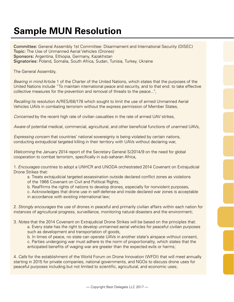# **Sample MUN Resolution**

Committee: General Assembly 1st Committee: Disarmament and International Security (DISEC) Topic: The Use of Unmanned Aerial Vehicles (Drones) Sponsors: Argentina, Ethiopia, Germany, Kazakhstan Signatories: Poland, Somalia, South Africa, Sudan, Tunisia, Turkey, Ukraine

The General Assembly,

*Bearing in mind* Article 1 of the Charter of the United Nations, which states that the purposes of the United Nations include "To maintain international peace and security, and to that end: to take effective collective measures for the prevention and removal of threats to the peace...",

*Recalling* its resolution A/RES/68/178 which sought to limit the use of armed Unmanned Aerial Vehicles UAVs in combating terrorism without the express permission of Member States,

*Concerned* by the recent high rate of civilian casualties in the rate of armed UAV strikes,

*Aware* of potential medical, commercial, agricultural, and other beneficial functions of unarmed UAVs,

*Expressing concern* that countries' national sovereignty is being violated by certain nations, conducting extrajudicial targeted killing in their territory with UAVs without declaring war,

*Welcoming* the January 2014 report of the Secretary General S/2014/9 on the need for global cooperation to combat terrorism, specifically in sub-saharan Africa,

1. *Encourages* countries to adopt a UNHCR and UNODA orchestrated 2014 Covenant on Extrajudicial Drone Strikes that:

a. Treats extrajudicial targeted assassination outside declared conflict zones as violations of the 1966 Covenant on Civil and Political Rights,

- b. Reaffirms the rights of nations to develop drones, especially for nonviolent purposes,
- c. Acknowledges that drone use in self-defense and inside declared war zones is acceptable
- in accordance with existing international law;

2. *Strongly encourages* the use of drones in peaceful and primarily civilian affairs within each nation for instances of agricultural progress, surveillance, monitoring natural disasters and the environment;

3. *Notes* that the 2014 Covenant on Extrajudicial Drone Strikes will be based on the principles that: a. Every state has the right to develop unmanned aerial vehicles for peaceful civilian purposes such as development and transportation of goods,

b. In times of peace, no state can operate UAVs in another state's airspace without consent, c. Parties undergoing war must adhere to the norm of proportionality, which states that the anticipated benefits of waging war are greater than the expected evils or harms;

4. *Calls* for the establishment of the World Forum on Drone Innovation (WFDI) that will meet annually starting in 2015 for private companies, national governments, and NGOs to discuss drone uses for peaceful purposes including but not limited to scientific, agricultural, and economic uses;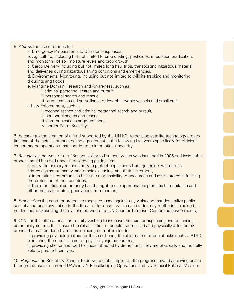5. *Affirms* the use of drones for:

a. Emergency Preparation and Disaster Responses,

b. Agriculture, including but not limited to crop dusting, pesticides, infestation eradication, and monitoring of soil moisture levels and crop growth,

c. Cargo Delivery including but not limited long haul trips, transporting hazardous material, and deliveries during hazardous flying conditions and emergencies,

d. Environmental Monitoring, including but not limited to wildlife tracking and monitoring droughts and floods,

e. Maritime Domain Research and Awareness, such as:

i. criminal personnel search and pursuit,

ii. personnel search and rescue,

#### iii. identification and surveillance of low observable vessels and small craft,

f. Law Enforcement, such as:

- i. reconnaissance and criminal personnel search and pursuit,
- ii. personnel search and rescue,
- iii. communications augmentation,
- iv. border Patrol Security;

6. *Encourages* the creation of a fund supported by the UN ICS to develop satellite technology drones (instead of the actual antenna technology drones) in the following five years specificaly for efficient longer-ranged operations that contribute to international security;

7. *Recognizes* the work of the "Responsibility to Protect" which was launched in 2005 and insists that drones should be used under the following guidelines:

a. carry the primary responsibility to protect populations from genocide, war crimes,

crimes against humanity, and ethnic cleansing, and their incitement,

b. international communities have the responsibility to encourage and assist states in fulfilling the protection of their countries,

c. the international community has the right to use appropriate diplomatic humanitarian and other means to protect populations from crimes;

8. *Emphasizes* the need for protective measures used against any violations that destabilize public security and pose any nation to the threat of terrorism, which can be done by methods including but not limited to expanding the relations between the UN Counter-Terrorism Center and governments;

9. *Calls* for the international community wishing to increase their aid for expanding and enhancing community centres that ensure the rehabilitation of people traumatized and physically affected by drones that can be done by means including but not limited to:

a. providing psychological aid for those suffering the aftermath of drone attacks such as PTSD, b. insuring the medical care for physically injured persons,

c. providing shelter and food for those affected by drones until they are physically and mentally able to pursue their lives;

10. *Requests* the Secretary General to deliver a global report on the progress toward achieving peace through the use of unarmed UAVs in UN Peacekeeping Operations and UN Special Political Missions.